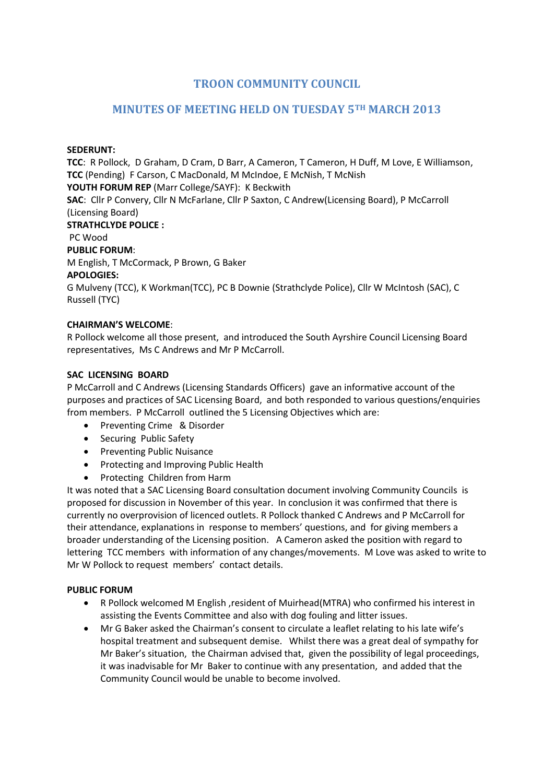# **TROON COMMUNITY COUNCIL**

# **MINUTES OF MEETING HELD ON TUESDAY 5TH MARCH 2013**

### **SEDERUNT:**

**TCC**: R Pollock, D Graham, D Cram, D Barr, A Cameron, T Cameron, H Duff, M Love, E Williamson, **TCC** (Pending) F Carson, C MacDonald, M McIndoe, E McNish, T McNish **YOUTH FORUM REP** (Marr College/SAYF): K Beckwith **SAC**: Cllr P Convery, Cllr N McFarlane, Cllr P Saxton, C Andrew(Licensing Board), P McCarroll (Licensing Board) **STRATHCLYDE POLICE :** PC Wood **PUBLIC FORUM**: M English, T McCormack, P Brown, G Baker **APOLOGIES:**  G Mulveny (TCC), K Workman(TCC), PC B Downie (Strathclyde Police), Cllr W McIntosh (SAC), C Russell (TYC)

# **CHAIRMAN'S WELCOME**:

R Pollock welcome all those present, and introduced the South Ayrshire Council Licensing Board representatives, Ms C Andrews and Mr P McCarroll.

# **SAC LICENSING BOARD**

P McCarroll and C Andrews (Licensing Standards Officers) gave an informative account of the purposes and practices of SAC Licensing Board, and both responded to various questions/enquiries from members. P McCarroll outlined the 5 Licensing Objectives which are:

- Preventing Crime & Disorder
- Securing Public Safety
- **•** Preventing Public Nuisance
- Protecting and Improving Public Health
- Protecting Children from Harm

It was noted that a SAC Licensing Board consultation document involving Community Councils is proposed for discussion in November of this year. In conclusion it was confirmed that there is currently no overprovision of licenced outlets. R Pollock thanked C Andrews and P McCarroll for their attendance, explanations in response to members' questions, and for giving members a broader understanding of the Licensing position. A Cameron asked the position with regard to lettering TCC members with information of any changes/movements. M Love was asked to write to Mr W Pollock to request members' contact details.

### **PUBLIC FORUM**

- R Pollock welcomed M English ,resident of Muirhead(MTRA) who confirmed his interest in assisting the Events Committee and also with dog fouling and litter issues.
- Mr G Baker asked the Chairman's consent to circulate a leaflet relating to his late wife's hospital treatment and subsequent demise. Whilst there was a great deal of sympathy for Mr Baker's situation, the Chairman advised that, given the possibility of legal proceedings, it was inadvisable for Mr Baker to continue with any presentation, and added that the Community Council would be unable to become involved.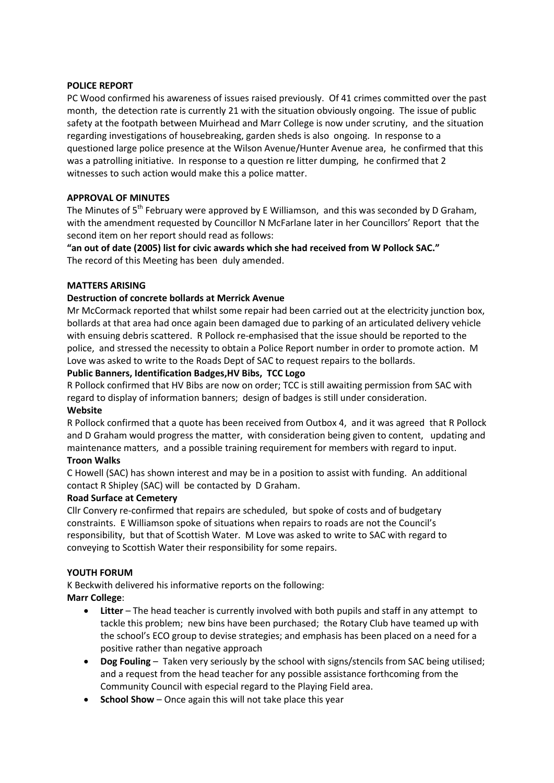### **POLICE REPORT**

PC Wood confirmed his awareness of issues raised previously. Of 41 crimes committed over the past month, the detection rate is currently 21 with the situation obviously ongoing. The issue of public safety at the footpath between Muirhead and Marr College is now under scrutiny, and the situation regarding investigations of housebreaking, garden sheds is also ongoing. In response to a questioned large police presence at the Wilson Avenue/Hunter Avenue area, he confirmed that this was a patrolling initiative. In response to a question re litter dumping, he confirmed that 2 witnesses to such action would make this a police matter.

# **APPROVAL OF MINUTES**

The Minutes of  $5<sup>th</sup>$  February were approved by E Williamson, and this was seconded by D Graham, with the amendment requested by Councillor N McFarlane later in her Councillors' Report that the second item on her report should read as follows:

**"an out of date (2005) list for civic awards which she had received from W Pollock SAC."** The record of this Meeting has been duly amended.

### **MATTERS ARISING**

# **Destruction of concrete bollards at Merrick Avenue**

Mr McCormack reported that whilst some repair had been carried out at the electricity junction box, bollards at that area had once again been damaged due to parking of an articulated delivery vehicle with ensuing debris scattered. R Pollock re-emphasised that the issue should be reported to the police, and stressed the necessity to obtain a Police Report number in order to promote action. M Love was asked to write to the Roads Dept of SAC to request repairs to the bollards.

# **Public Banners, Identification Badges,HV Bibs, TCC Logo**

R Pollock confirmed that HV Bibs are now on order; TCC is still awaiting permission from SAC with regard to display of information banners; design of badges is still under consideration. **Website**

R Pollock confirmed that a quote has been received from Outbox 4, and it was agreed that R Pollock and D Graham would progress the matter, with consideration being given to content, updating and maintenance matters, and a possible training requirement for members with regard to input.

### **Troon Walks**

C Howell (SAC) has shown interest and may be in a position to assist with funding. An additional contact R Shipley (SAC) will be contacted by D Graham.

### **Road Surface at Cemetery**

Cllr Convery re-confirmed that repairs are scheduled, but spoke of costs and of budgetary constraints. E Williamson spoke of situations when repairs to roads are not the Council's responsibility, but that of Scottish Water. M Love was asked to write to SAC with regard to conveying to Scottish Water their responsibility for some repairs.

### **YOUTH FORUM**

K Beckwith delivered his informative reports on the following: **Marr College**:

- **Litter** The head teacher is currently involved with both pupils and staff in any attempt to tackle this problem; new bins have been purchased; the Rotary Club have teamed up with the school's ECO group to devise strategies; and emphasis has been placed on a need for a positive rather than negative approach
- **Dog Fouling** Taken very seriously by the school with signs/stencils from SAC being utilised; and a request from the head teacher for any possible assistance forthcoming from the Community Council with especial regard to the Playing Field area.
- **School Show** Once again this will not take place this year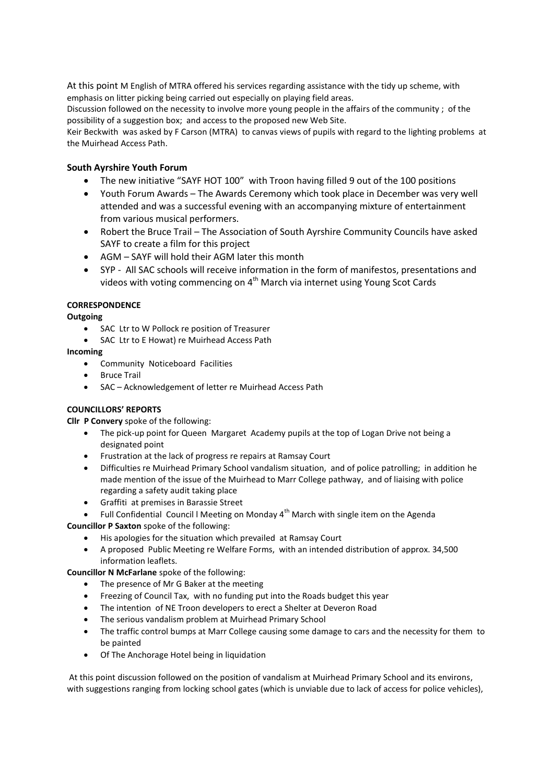At this point M English of MTRA offered his services regarding assistance with the tidy up scheme, with emphasis on litter picking being carried out especially on playing field areas.

Discussion followed on the necessity to involve more young people in the affairs of the community ; of the possibility of a suggestion box; and access to the proposed new Web Site.

Keir Beckwith was asked by F Carson (MTRA) to canvas views of pupils with regard to the lighting problems at the Muirhead Access Path.

### **South Ayrshire Youth Forum**

- The new initiative "SAYF HOT 100" with Troon having filled 9 out of the 100 positions
- Youth Forum Awards The Awards Ceremony which took place in December was very well attended and was a successful evening with an accompanying mixture of entertainment from various musical performers.
- Robert the Bruce Trail The Association of South Ayrshire Community Councils have asked SAYF to create a film for this project
- AGM SAYF will hold their AGM later this month
- SYP All SAC schools will receive information in the form of manifestos, presentations and videos with voting commencing on 4<sup>th</sup> March via internet using Young Scot Cards

### **CORRESPONDENCE**

**Outgoing**

- SAC Ltr to W Pollock re position of Treasurer
- SAC Ltr to E Howat) re Muirhead Access Path

### **Incoming**

- Community Noticeboard Facilities
- Bruce Trail
- SAC Acknowledgement of letter re Muirhead Access Path

### **COUNCILLORS' REPORTS**

**Cllr P Convery** spoke of the following:

- The pick-up point for Queen Margaret Academy pupils at the top of Logan Drive not being a designated point
- Frustration at the lack of progress re repairs at Ramsay Court
- Difficulties re Muirhead Primary School vandalism situation, and of police patrolling; in addition he made mention of the issue of the Muirhead to Marr College pathway, and of liaising with police regarding a safety audit taking place
- Graffiti at premises in Barassie Street
- Full Confidential Council I Meeting on Monday  $4<sup>th</sup>$  March with single item on the Agenda

**Councillor P Saxton** spoke of the following:

- His apologies for the situation which prevailed at Ramsay Court
- A proposed Public Meeting re Welfare Forms, with an intended distribution of approx. 34,500 information leaflets.

**Councillor N McFarlane** spoke of the following:

- The presence of Mr G Baker at the meeting
- Freezing of Council Tax, with no funding put into the Roads budget this year
- The intention of NE Troon developers to erect a Shelter at Deveron Road
- The serious vandalism problem at Muirhead Primary School
- The traffic control bumps at Marr College causing some damage to cars and the necessity for them to be painted
- Of The Anchorage Hotel being in liquidation

At this point discussion followed on the position of vandalism at Muirhead Primary School and its environs, with suggestions ranging from locking school gates (which is unviable due to lack of access for police vehicles),